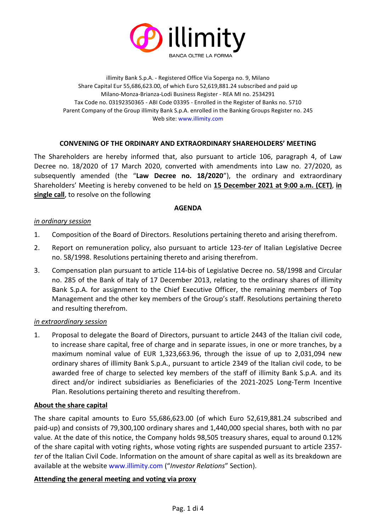

illimity Bank S.p.A. - Registered Office Via Soperga no. 9, Milano Share Capital Eur 55,686,623.00, of which Euro 52,619,881.24 subscribed and paid up Milano-Monza-Brianza-Lodi Business Register - REA MI no. 2534291 Tax Code no. 03192350365 - ABI Code 03395 - Enrolled in the Register of Banks no. 5710 Parent Company of the Group illimity Bank S.p.A. enrolled in the Banking Groups Register no. 245 Web site[: www.illimity.com](http://www.illimity.com/)

# **CONVENING OF THE ORDINARY AND EXTRAORDINARY SHAREHOLDERS' MEETING**

The Shareholders are hereby informed that, also pursuant to article 106, paragraph 4, of Law Decree no. 18/2020 of 17 March 2020, converted with amendments into Law no. 27/2020, as subsequently amended (the "**Law Decree no. 18/2020**"), the ordinary and extraordinary Shareholders' Meeting is hereby convened to be held on **15 December 2021 at 9:00 a.m. (CET)**, **in single call**, to resolve on the following

## **AGENDA**

#### *in ordinary session*

- 1. Composition of the Board of Directors. Resolutions pertaining thereto and arising therefrom.
- 2. Report on remuneration policy, also pursuant to article 123-*ter* of Italian Legislative Decree no. 58/1998. Resolutions pertaining thereto and arising therefrom.
- 3. Compensation plan pursuant to article 114-bis of Legislative Decree no. 58/1998 and Circular no. 285 of the Bank of Italy of 17 December 2013, relating to the ordinary shares of illimity Bank S.p.A. for assignment to the Chief Executive Officer, the remaining members of Top Management and the other key members of the Group's staff. Resolutions pertaining thereto and resulting therefrom.

#### *in extraordinary session*

1. Proposal to delegate the Board of Directors, pursuant to article 2443 of the Italian civil code, to increase share capital, free of charge and in separate issues, in one or more tranches, by a maximum nominal value of EUR 1,323,663.96, through the issue of up to 2,031,094 new ordinary shares of illimity Bank S.p.A., pursuant to article 2349 of the Italian civil code, to be awarded free of charge to selected key members of the staff of illimity Bank S.p.A. and its direct and/or indirect subsidiaries as Beneficiaries of the 2021-2025 Long-Term Incentive Plan. Resolutions pertaining thereto and resulting therefrom.

## **About the share capital**

The share capital amounts to Euro 55,686,623.00 (of which Euro 52,619,881.24 subscribed and paid-up) and consists of 79,300,100 ordinary shares and 1,440,000 special shares, both with no par value. At the date of this notice, the Company holds 98,505 treasury shares, equal to around 0.12% of the share capital with voting rights, whose voting rights are suspended pursuant to article 2357 *ter* of the Italian Civil Code. Information on the amount of share capital as well as its breakdown are available at the website [www.illimity.com](http://www.illimity.com/) ("*Investor Relations*" Section).

## **Attending the general meeting and voting via proxy**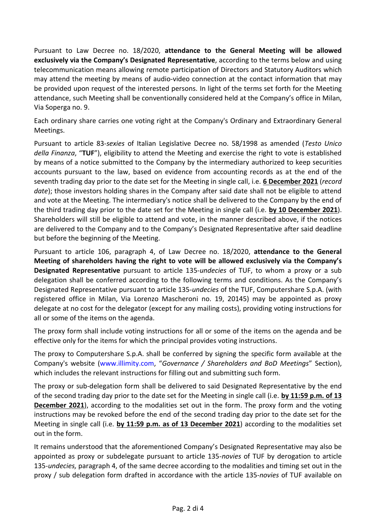Pursuant to Law Decree no. 18/2020, **attendance to the General Meeting will be allowed exclusively via the Company's Designated Representative**, according to the terms below and using telecommunication means allowing remote participation of Directors and Statutory Auditors which may attend the meeting by means of audio-video connection at the contact information that may be provided upon request of the interested persons. In light of the terms set forth for the Meeting attendance, such Meeting shall be conventionally considered held at the Company's office in Milan, Via Soperga no. 9.

Each ordinary share carries one voting right at the Company's Ordinary and Extraordinary General Meetings.

Pursuant to article 83-*sexies* of Italian Legislative Decree no. 58/1998 as amended (*Testo Unico della Finanza*, "**TUF**"), eligibility to attend the Meeting and exercise the right to vote is established by means of a notice submitted to the Company by the intermediary authorized to keep securities accounts pursuant to the law, based on evidence from accounting records as at the end of the seventh trading day prior to the date set for the Meeting in single call, i.e. **6 December 2021** (*record date*); those investors holding shares in the Company after said date shall not be eligible to attend and vote at the Meeting. The intermediary's notice shall be delivered to the Company by the end of the third trading day prior to the date set for the Meeting in single call (i.e. **by 10 December 2021**). Shareholders will still be eligible to attend and vote, in the manner described above, if the notices are delivered to the Company and to the Company's Designated Representative after said deadline but before the beginning of the Meeting.

Pursuant to article 106, paragraph 4, of Law Decree no. 18/2020, **attendance to the General Meeting of shareholders having the right to vote will be allowed exclusively via the Company's Designated Representative** pursuant to article 135-*undecies* of TUF, to whom a proxy or a sub delegation shall be conferred according to the following terms and conditions. As the Company's Designated Representative pursuant to article 135-*undecies* of the TUF, Computershare S.p.A. (with registered office in Milan, Via Lorenzo Mascheroni no. 19, 20145) may be appointed as proxy delegate at no cost for the delegator (except for any mailing costs), providing voting instructions for all or some of the items on the agenda.

The proxy form shall include voting instructions for all or some of the items on the agenda and be effective only for the items for which the principal provides voting instructions.

The proxy to Computershare S.p.A. shall be conferred by signing the specific form available at the Company's website [\(www.illimity.com](http://www.illimity.com/), "*Governance / Shareholders and BoD Meetings*" Section), which includes the relevant instructions for filling out and submitting such form.

The proxy or sub-delegation form shall be delivered to said Designated Representative by the end of the second trading day prior to the date set for the Meeting in single call (i.e. **by 11:59 p.m. of 13 December 2021**), according to the modalities set out in the form. The proxy form and the voting instructions may be revoked before the end of the second trading day prior to the date set for the Meeting in single call (i.e. **by 11:59 p.m. as of 13 December 2021**) according to the modalities set out in the form.

It remains understood that the aforementioned Company's Designated Representative may also be appointed as proxy or subdelegate pursuant to article 135-*novies* of TUF by derogation to article 135-*undecies,* paragraph 4, of the same decree according to the modalities and timing set out in the proxy / sub delegation form drafted in accordance with the article 135-*novies* of TUF available on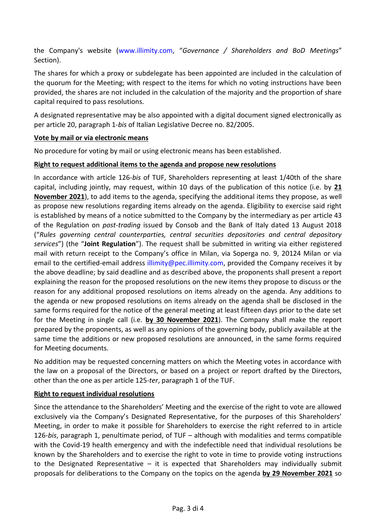the Company's website [\(www.illimity.com,](http://www.illimity.com/) "*Governance / Shareholders and BoD Meetings*" Section).

The shares for which a proxy or subdelegate has been appointed are included in the calculation of the quorum for the Meeting; with respect to the items for which no voting instructions have been provided, the shares are not included in the calculation of the majority and the proportion of share capital required to pass resolutions.

A designated representative may be also appointed with a digital document signed electronically as per article 20, paragraph 1-*bis* of Italian Legislative Decree no. 82/2005.

## **Vote by mail or via electronic means**

No procedure for voting by mail or using electronic means has been established.

## **Right to request additional items to the agenda and propose new resolutions**

In accordance with article 126-*bis* of TUF, Shareholders representing at least 1/40th of the share capital, including jointly, may request, within 10 days of the publication of this notice (i.e. by **21 November 2021**), to add items to the agenda, specifying the additional items they propose, as well as propose new resolutions regarding items already on the agenda. Eligibility to exercise said right is established by means of a notice submitted to the Company by the intermediary as per article 43 of the Regulation on *post-trading* issued by Consob and the Bank of Italy dated 13 August 2018 ("*Rules governing central counterparties, central securities depositories and central depository services*") (the "**Joint Regulation**"). The request shall be submitted in writing via either registered mail with return receipt to the Company's office in Milan, via Soperga no. 9, 20124 Milan or via email to the certified-email address illimity@pec.illimity.com, provided the Company receives it by the above deadline; by said deadline and as described above, the proponents shall present a report explaining the reason for the proposed resolutions on the new items they propose to discuss or the reason for any additional proposed resolutions on items already on the agenda. Any additions to the agenda or new proposed resolutions on items already on the agenda shall be disclosed in the same forms required for the notice of the general meeting at least fifteen days prior to the date set for the Meeting in single call (i.e. **by 30 November 2021**). The Company shall make the report prepared by the proponents, as well as any opinions of the governing body, publicly available at the same time the additions or new proposed resolutions are announced, in the same forms required for Meeting documents.

No addition may be requested concerning matters on which the Meeting votes in accordance with the law on a proposal of the Directors, or based on a project or report drafted by the Directors, other than the one as per article 125-*ter*, paragraph 1 of the TUF.

## **Right to request individual resolutions**

Since the attendance to the Shareholders' Meeting and the exercise of the right to vote are allowed exclusively via the Company's Designated Representative, for the purposes of this Shareholders' Meeting, in order to make it possible for Shareholders to exercise the right referred to in article 126-*bis*, paragraph 1, penultimate period, of TUF – although with modalities and terms compatible with the Covid-19 health emergency and with the indefectible need that individual resolutions be known by the Shareholders and to exercise the right to vote in time to provide voting instructions to the Designated Representative  $-$  it is expected that Shareholders may individually submit proposals for deliberations to the Company on the topics on the agenda **by 29 November 2021** so